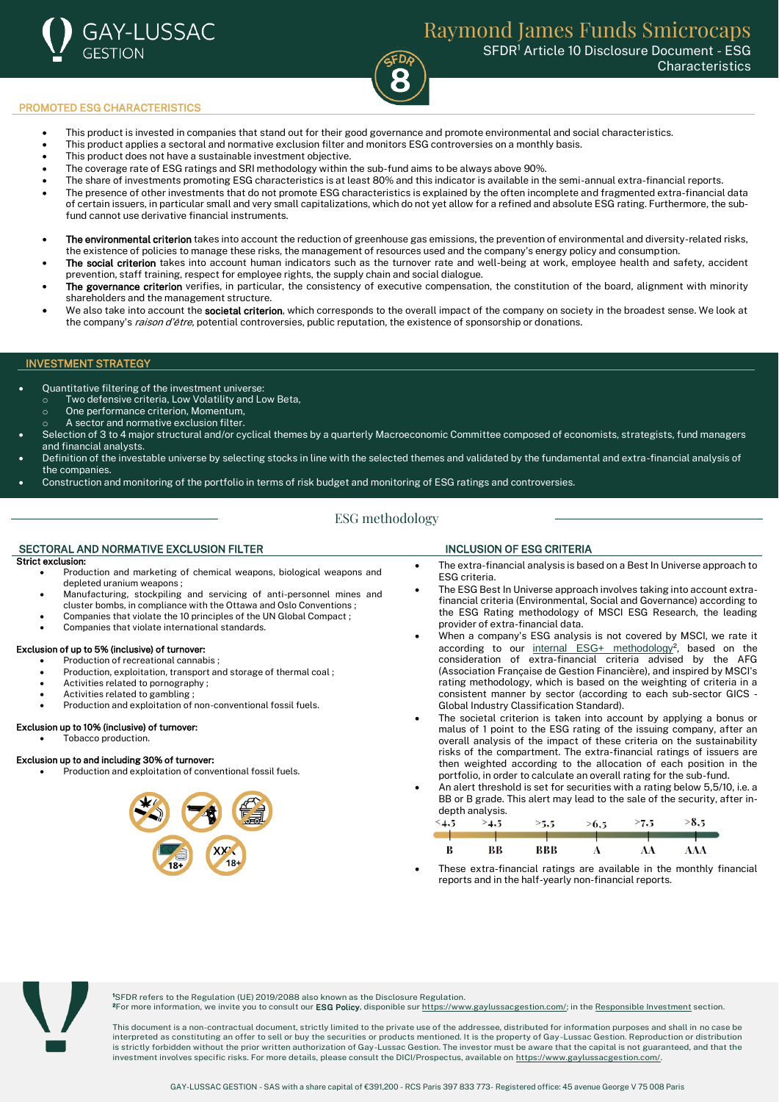

## PROMOTED ESG CHARACTERISTICS

- This product is invested in companies that stand out for their good governance and promote environmental and social characteristics.
- This product applies a sectoral and normative exclusion filter and monitors ESG controversies on a monthly basis.
- This product does not have a sustainable investment objective.
- The coverage rate of ESG ratings and SRI methodology within the sub-fund aims to be always above 90%.
- The share of investments promoting ESG characteristics is at least 80% and this indicator is available in the semi-annual extra-financial reports.
- The presence of other investments that do not promote ESG characteristics is explained by the often incomplete and fragmented extra-financial data of certain issuers, in particular small and very small capitalizations, which do not yet allow for a refined and absolute ESG rating. Furthermore, the subfund cannot use derivative financial instruments.
- The environmental criterion takes into account the reduction of greenhouse gas emissions, the prevention of environmental and diversity-related risks, the existence of policies to manage these risks, the management of resources used and the company's energy policy and consumption.
- The social criterion takes into account human indicators such as the turnover rate and well-being at work, employee health and safety, accident prevention, staff training, respect for employee rights, the supply chain and social dialogue.
- The governance criterion verifies, in particular, the consistency of executive compensation, the constitution of the board, alignment with minority shareholders and the management structure.
- We also take into account the societal criterion, which corresponds to the overall impact of the company on society in the broadest sense. We look at the company's raison d'être, potential controversies, public reputation, the existence of sponsorship or donations.

### INVESTMENT STRATEGY

- Quantitative filtering of the investment universe:
	- Two defensive criteria, Low Volatility and Low Beta, o One performance criterion, Momentum,
		- A sector and normative exclusion filter.
- Selection of 3 to 4 major structural and/or cyclical themes by a quarterly Macroeconomic Committee composed of economists, strategists, fund managers and financial analysts.
- Definition of the investable universe by selecting stocks in line with the selected themes and validated by the fundamental and extra-financial analysis of the companies.
- Construction and monitoring of the portfolio in terms of risk budget and monitoring of ESG ratings and controversies.

# ESG methodology

## SECTORAL AND NORMATIVE EXCLUSION FILTER INCLUSION OF ESG CRITERIA

### Strict exclusion:

- Production and marketing of chemical weapons, biological weapons and depleted uranium weapons ;
- Manufacturing, stockpiling and servicing of anti-personnel mines and cluster bombs, in compliance with the Ottawa and Oslo Conventions ;
- Companies that violate the 10 principles of the UN Global Compact ;
- Companies that violate international standards.

### Exclusion of up to 5% (inclusive) of turnover:

- Production of recreational cannabis ;
- Production, exploitation, transport and storage of thermal coal ;
- Activities related to pornography ;
- Activities related to gambling ;
- Production and exploitation of non-conventional fossil fuels.

# Exclusion up to 10% (inclusive) of turnover:

• Tobacco production.

### Exclusion up to and including 30% of turnover:

• Production and exploitation of conventional fossil fuels.



- The extra-financial analysis is based on a Best In Universe approach to ESG criteria.
- The ESG Best In Universe approach involves taking into account extrafinancial criteria (Environmental, Social and Governance) according to the ESG Rating methodology of MSCI ESG Research, the leading provider of extra-financial data.
- When a company's ESG analysis is not covered by MSCI, we rate it according to our [internal ESG+ methodology](https://www.gaylussacgestion.com/wp-content/uploads/2021/10/Gay-Lussac-Gestion_Politique-ESG_Octobre-2021-1.pdf)<sup>2</sup>, based on the consideration of extra-financial criteria advised by the AFG (Association Française de Gestion Financière), and inspired by MSCI's rating methodology, which is based on the weighting of criteria in a consistent manner by sector (according to each sub-sector GICS - Global Industry Classification Standard).
- The societal criterion is taken into account by applying a bonus or malus of 1 point to the ESG rating of the issuing company, after an overall analysis of the impact of these criteria on the sustainability risks of the compartment. The extra-financial ratings of issuers are then weighted according to the allocation of each position in the portfolio, in order to calculate an overall rating for the sub-fund.
- An alert threshold is set for securities with a rating below 5,5/10, i.e. a BB or B grade. This alert may lead to the sale of the security, after indepth analysis.

| $\leq 4.5$ | 4.5 | >5,5 | >6.5 | >7.5 | 8.5 |
|------------|-----|------|------|------|-----|
|            |     |      |      |      |     |
| B          | BВ  | BBB  |      | AΔ   | AAA |

These extra-financial ratings are available in the monthly financial reports and in the half-yearly non-financial reports.



<sup>1</sup>SFDR refers to the Regulation (UE) 2019/2088 also known as the Disclosure Regulation. <sup>2</sup>For more information, we invite you to consult our ESG Policy, disponible su[r https://www.gaylussacgestion.com/;](https://www.gaylussacgestion.com/) in th[e Responsible Investment](https://www.gaylussacgestion.com/investissement-responsable/) section.

This document is a non-contractual document, strictly limited to the private use of the addressee, distributed for information purposes and shall in no case be interpreted as constituting an offer to sell or buy the securities or products mentioned. It is the property of Gay-Lussac Gestion. Reproduction or distribution<br>is strictly forbidden without the prior written authorization investment involves specific risks. For more details, please consult the DICI/Prospectus, available o[n https://www.gaylussacgestion.com/.](https://www.gaylussacgestion.com/)